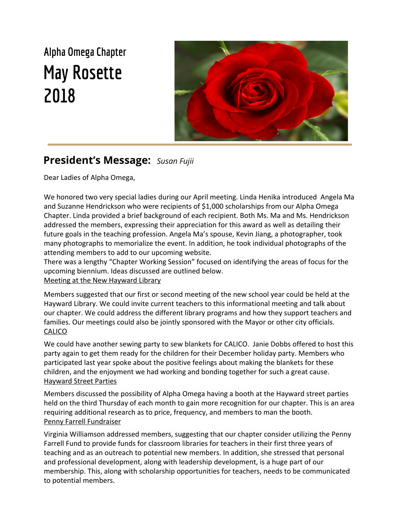## **Alpha Omega Chapter May Rosette 2018**



### **President's Message:** *Susan Fujii*

Dear Ladies of Alpha Omega,

We honored two very special ladies during our April meeting. Linda Henika introduced Angela Ma and Suzanne Hendrickson who were recipients of \$1,000 scholarships from our Alpha Omega Chapter. Linda provided a brief background of each recipient. Both Ms. Ma and Ms. Hendrickson addressed the members, expressing their appreciation for this award as well as detailing their future goals in the teaching profession. Angela Ma's spouse, Kevin Jiang, a photographer, took many photographs to memorialize the event. In addition, he took individual photographs of the attending members to add to our upcoming website.

There was a lengthy "Chapter Working Session" focused on identifying the areas of focus for the upcoming biennium. Ideas discussed are outlined below.

#### Meeting at the New Hayward Library

Members suggested that our first or second meeting of the new school year could be held at the Hayward Library. We could invite current teachers to this informational meeting and talk about our chapter. We could address the different library programs and how they support teachers and families. Our meetings could also be jointly sponsored with the Mayor or other city officials. **CALICO** 

We could have another sewing party to sew blankets for CALICO. Janie Dobbs offered to host this party again to get them ready for the children for their December holiday party. Members who participated last year spoke about the positive feelings about making the blankets for these children, and the enjoyment we had working and bonding together for such a great cause. Hayward Street Parties

Members discussed the possibility of Alpha Omega having a booth at the Hayward street parties held on the third Thursday of each month to gain more recognition for our chapter. This is an area requiring additional research as to price, frequency, and members to man the booth. Penny Farrell Fundraiser

Virginia Williamson addressed members, suggesting that our chapter consider utilizing the Penny Farrell Fund to provide funds for classroom libraries for teachers in their first three years of teaching and as an outreach to potential new members. In addition, she stressed that personal and professional development, along with leadership development, is a huge part of our membership. This, along with scholarship opportunities for teachers, needs to be communicated to potential members.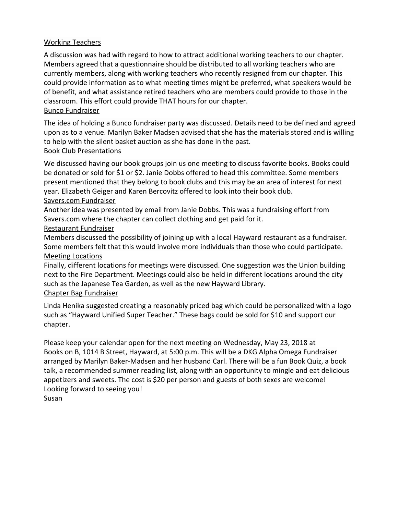#### Working Teachers

A discussion was had with regard to how to attract additional working teachers to our chapter. Members agreed that a questionnaire should be distributed to all working teachers who are currently members, along with working teachers who recently resigned from our chapter. This could provide information as to what meeting times might be preferred, what speakers would be of benefit, and what assistance retired teachers who are members could provide to those in the classroom. This effort could provide THAT hours for our chapter. Bunco Fundraiser

The idea of holding a Bunco fundraiser party was discussed. Details need to be defined and agreed upon as to a venue. Marilyn Baker Madsen advised that she has the materials stored and is willing to help with the silent basket auction as she has done in the past.

#### Book Club Presentations

We discussed having our book groups join us one meeting to discuss favorite books. Books could be donated or sold for \$1 or \$2. Janie Dobbs offered to head this committee. Some members present mentioned that they belong to book clubs and this may be an area of interest for next year. Elizabeth Geiger and Karen Bercovitz offered to look into their book club. Savers.com Fundraiser

Another idea was presented by email from Janie Dobbs. This was a fundraising effort from Savers.com where the chapter can collect clothing and get paid for it.

#### Restaurant Fundraiser

Members discussed the possibility of joining up with a local Hayward restaurant as a fundraiser. Some members felt that this would involve more individuals than those who could participate. Meeting Locations

Finally, different locations for meetings were discussed. One suggestion was the Union building next to the Fire Department. Meetings could also be held in different locations around the city such as the Japanese Tea Garden, as well as the new Hayward Library.

#### Chapter Bag Fundraiser

Linda Henika suggested creating a reasonably priced bag which could be personalized with a logo such as "Hayward Unified Super Teacher." These bags could be sold for \$10 and support our chapter.

Please keep your calendar open for the next meeting on Wednesday, May 23, 2018 at Books on B, 1014 B Street, Hayward, at 5:00 p.m. This will be a DKG Alpha Omega Fundraiser arranged by Marilyn Baker-Madsen and her husband Carl. There will be a fun Book Quiz, a book talk, a recommended summer reading list, along with an opportunity to mingle and eat delicious appetizers and sweets. The cost is \$20 per person and guests of both sexes are welcome! Looking forward to seeing you! Susan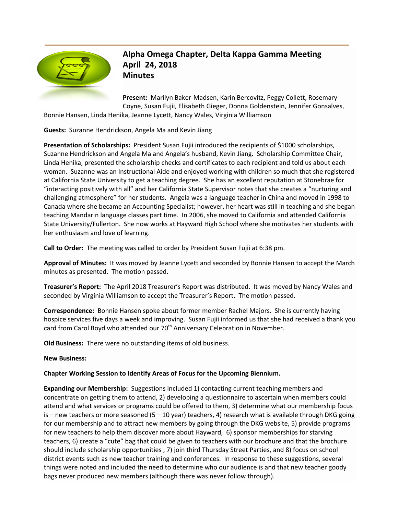

**Alpha Omega Chapter, Delta Kappa Gamma Meeting April 24, 2018 Minutes**

**Present:** Marilyn Baker-Madsen, Karin Bercovitz, Peggy Collett, Rosemary Coyne, Susan Fujii, Elisabeth Gieger, Donna Goldenstein, Jennifer Gonsalves, Bonnie Hansen, Linda Henika, Jeanne Lycett, Nancy Wales, Virginia Williamson

**Guests:** Suzanne Hendrickson, Angela Ma and Kevin Jiang

**Presentation of Scholarships:** President Susan Fujii introduced the recipients of \$1000 scholarships, Suzanne Hendrickson and Angela Ma and Angela's husband, Kevin Jiang. Scholarship Committee Chair, Linda Henika, presented the scholarship checks and certificates to each recipient and told us about each woman. Suzanne was an Instructional Aide and enjoyed working with children so much that she registered at California State University to get a teaching degree. She has an excellent reputation at Stonebrae for "interacting positively with all" and her California State Supervisor notes that she creates a "nurturing and challenging atmosphere" for her students. Angela was a language teacher in China and moved in 1998 to Canada where she became an Accounting Specialist; however, her heart was still in teaching and she began teaching Mandarin language classes part time. In 2006, she moved to California and attended California State University/Fullerton. She now works at Hayward High School where she motivates her students with her enthusiasm and love of learning.

**Call to Order:** The meeting was called to order by President Susan Fujii at 6:38 pm.

**Approval of Minutes:** It was moved by Jeanne Lycett and seconded by Bonnie Hansen to accept the March minutes as presented. The motion passed.

**Treasurer's Report:** The April 2018 Treasurer's Report was distributed. It was moved by Nancy Wales and seconded by Virginia Williamson to accept the Treasurer's Report. The motion passed.

**Correspondence:** Bonnie Hansen spoke about former member Rachel Majors. She is currently having hospice services five days a week and improving. Susan Fujii informed us that she had received a thank you card from Carol Boyd who attended our 70<sup>th</sup> Anniversary Celebration in November.

**Old Business:** There were no outstanding items of old business.

#### **New Business:**

#### **Chapter Working Session to Identify Areas of Focus for the Upcoming Biennium.**

**Expanding our Membership:** Suggestions included 1) contacting current teaching members and concentrate on getting them to attend, 2) developing a questionnaire to ascertain when members could attend and what services or programs could be offered to them, 3) determine what our membership focus is – new teachers or more seasoned (5 – 10 year) teachers, 4) research what is available through DKG going for our membership and to attract new members by going through the DKG website, 5) provide programs for new teachers to help them discover more about Hayward, 6) sponsor memberships for starving teachers, 6) create a "cute" bag that could be given to teachers with our brochure and that the brochure should include scholarship opportunities , 7) join third Thursday Street Parties, and 8) focus on school district events such as new teacher training and conferences. In response to these suggestions, several things were noted and included the need to determine who our audience is and that new teacher goody bags never produced new members (although there was never follow through).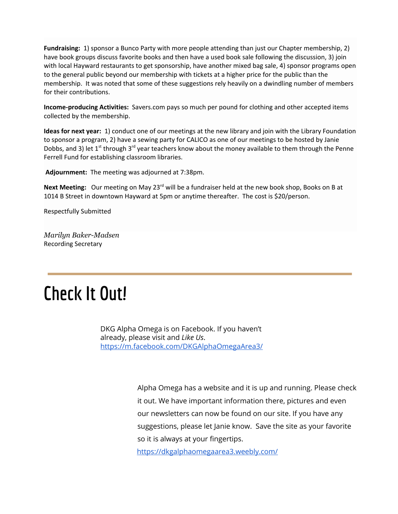**Fundraising:** 1) sponsor a Bunco Party with more people attending than just our Chapter membership, 2) have book groups discuss favorite books and then have a used book sale following the discussion, 3) join with local Hayward restaurants to get sponsorship, have another mixed bag sale, 4) sponsor programs open to the general public beyond our membership with tickets at a higher price for the public than the membership. It was noted that some of these suggestions rely heavily on a dwindling number of members for their contributions.

**Income-producing Activities:** Savers.com pays so much per pound for clothing and other accepted items collected by the membership.

**Ideas for next year:** 1) conduct one of our meetings at the new library and join with the Library Foundation to sponsor a program, 2) have a sewing party for CALICO as one of our meetings to be hosted by Janie Dobbs, and 3) let 1<sup>st</sup> through 3<sup>rd</sup> year teachers know about the money available to them through the Penne Ferrell Fund for establishing classroom libraries.

**Adjournment:** The meeting was adjourned at 7:38pm.

**Next Meeting:** Our meeting on May 23<sup>rd</sup> will be a fundraiser held at the new book shop, Books on B at 1014 B Street in downtown Hayward at 5pm or anytime thereafter. The cost is \$20/person.

Respectfully Submitted

*Marilyn Baker-Madsen* Recording Secretary

# **Check It Out!**

DKG Alpha Omega is on Facebook. If you haven't already, please visit and *Like Us*. <https://m.facebook.com/DKGAlphaOmegaArea3/>

> Alpha Omega has a website and it is up and running. Please check it out. We have important information there, pictures and even our newsletters can now be found on our site. If you have any suggestions, please let Janie know. Save the site as your favorite so it is always at your fingertips.

<https://dkgalphaomegaarea3.weebly.com/>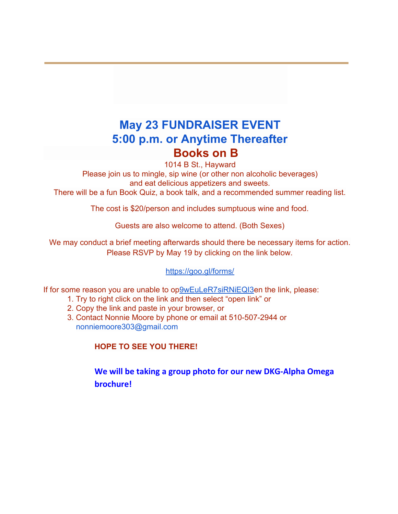## **May 23 FUNDRAISER EVENT 5:00 p.m. or Anytime Thereafter Books on B**

1014 B St., Hayward

Please join us to mingle, sip wine (or other non alcoholic beverages) and eat delicious appetizers and sweets.

There will be a fun Book Quiz, a book talk, and a recommended summer reading list.

The cost is \$20/person and includes sumptuous wine and food.

Guests are also welcome to attend. (Both Sexes)

We may conduct a brief meeting afterwards should there be necessary items for action. Please RSVP by May 19 by clicking on the link below.

#### [https://goo.gl/forms/](https://goo.gl/forms/9wEuLeR7siRNiEQI3)

If for some reason you are unable to o[p9wEuLeR7siRNiEQI3e](https://goo.gl/forms/9wEuLeR7siRNiEQI3)n the link, please:

- 1. Try to right click on the link and then select "open link" or
- 2. Copy the link and paste in your browser, or
- 3. Contact Nonnie Moore by phone or email at 510-507-2944 or nonniemoore303@gmail.com

**HOPE TO SEE YOU THERE!**

**We will be taking a group photo for our new DKG-Alpha Omega brochure!**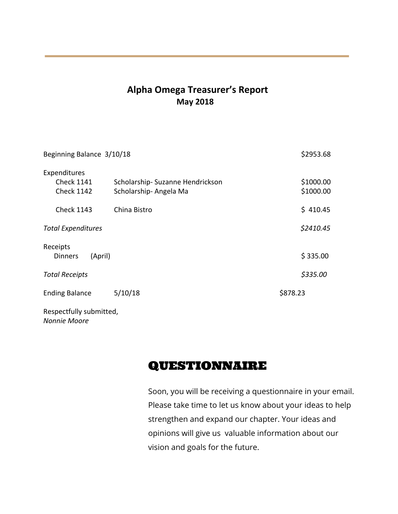### **Alpha Omega Treasurer's Report May 2018**

| Beginning Balance 3/10/18                              |                                                          | \$2953.68              |
|--------------------------------------------------------|----------------------------------------------------------|------------------------|
| Expenditures<br><b>Check 1141</b><br><b>Check 1142</b> | Scholarship-Suzanne Hendrickson<br>Scholarship-Angela Ma | \$1000.00<br>\$1000.00 |
| <b>Check 1143</b>                                      | China Bistro                                             | \$410.45               |
| <b>Total Expenditures</b>                              |                                                          | \$2410.45              |
| Receipts<br><b>Dinners</b><br>(April)                  |                                                          | \$335.00               |
| <b>Total Receipts</b>                                  |                                                          | \$335.00               |
| <b>Ending Balance</b>                                  | 5/10/18                                                  | \$878.23               |
| Respectfully submitted,                                |                                                          |                        |

*Nonnie Moore*

## QUESTIONNAIRE

Soon, you will be receiving a questionnaire in your email. Please take time to let us know about your ideas to help strengthen and expand our chapter. Your ideas and opinions will give us valuable information about our vision and goals for the future.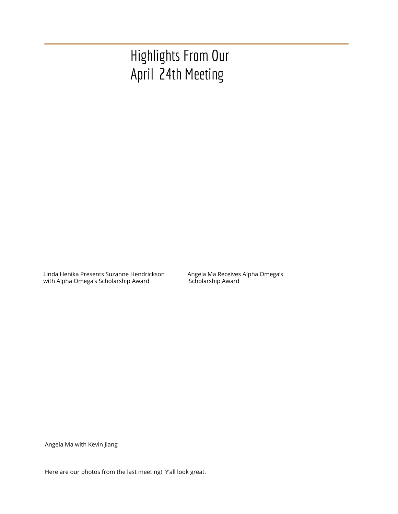## Highlights From Our April 24th Meeting

Linda Henika Presents Suzanne Hendrickson Angela Ma Receives Alpha Omega's with Alpha Omega's Scholarship Award Scholarship Award

Angela Ma with Kevin Jiang

Here are our photos from the last meeting! Y'all look great.